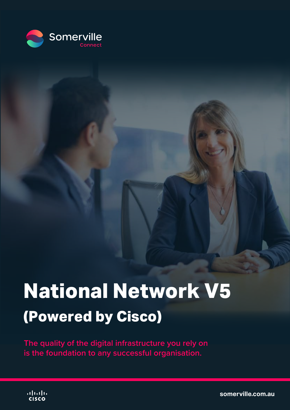

# **National Network V5 (Powered by Cisco)**

**The quality of the digital infrastructure you rely on is the foundation to any successful organisation.**



**[somerville.com.au](https://somerville.com.au/)**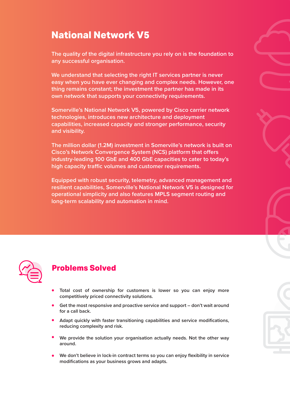# **National Network V5**

**The quality of the digital infrastructure you rely on is the foundation to any successful organisation.**

**We understand that selecting the right IT services partner is never easy when you have ever changing and complex needs. However, one thing remains constant; the investment the partner has made in its own network that supports your connectivity requirements.**

**Somerville's National Network V5, powered by Cisco carrier network technologies, introduces new architecture and deployment capabilities, increased capacity and stronger performance, security and visibility.**

**The million dollar (1.2M) investment in Somerville's network is built on Cisco's Network Convergence System (NCS) platform that offers industry-leading 100 GbE and 400 GbE capacities to cater to today's**  high capacity traffic volumes and customer requirements.

**Equipped with robust security, telemetry, advanced management and resilient capabilities, Somerville's National Network V5 is designed for operational simplicity and also features MPLS segment routing and long-term scalability and automation in mind.**



## **Problems Solved**

- **• Total cost of ownership for customers is lower so you can enjoy more competitively priced connectivity solutions.**
- **• Get the most responsive and proactive service and support – don't wait around for a call back.**
- **• Adapt quickly with faster transitioning capabilities and service modifications, reducing complexity and risk.**
- **• We provide the solution your organisation actually needs. Not the other way around.**
- **• We don't believe in lock-in contract terms so you can enjoy flexibility in service modifications as your business grows and adapts.**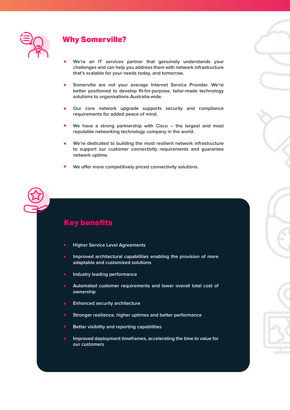

#### **Why Somerville?**

- **• We're an IT services partner that genuinely understands your challenges and can help you address them with network infrastructure that's scalable for your needs today, and tomorrow.**
- **• Somerville are not your average Internet Service Provider. We're better positioned to develop fit-for-purpose, tailor-made technology solutions to organisations Australia-wide.**
- **• Our core network upgrade supports security and compliance requirements for added peace of mind.**
- **• We have a strong partnership with Cisco – the largest and most reputable networking technology company in the world.**
- **• We're dedicated to building the most resilient network infrastructure to support our customer connectivity requirements and guarantee network uptime.**
- **•** We offer more competitively priced connectivity solutions.

## **Key benefits**

- **Higher Service Level Agreements**
- **Improved architectural capabilities enabling the provision of more adaptable and customized solutions**
- **Industry leading performance**
- **Automated customer requirements and lower overall total cost of ownership**
- **Enhanced security architecture**
- **Stronger resilience, higher uptimes and better performance**
- **Better visibility and reporting capabilities**
- **Improved deployment timeframes, accelerating the time to value for our customers**